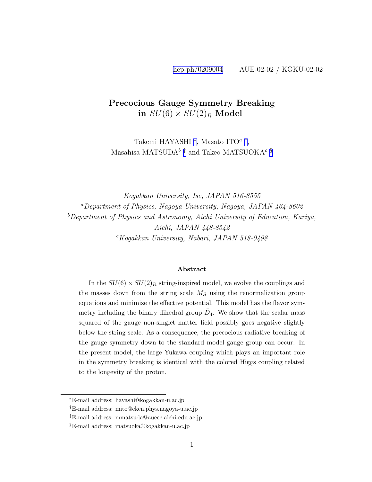#### Precocious Gauge Symmetry Breaking in  $SU(6) \times SU(2)_R$  Model

Takemi HAYASHI <sup>\*</sup>, Masato ITO<sup>*a*†</sup>, Masahisa MATSUDA<sup>b ‡</sup> and Takeo MATSUOKA<sup>c §</sup>

Kogakkan University, Ise, JAPAN 516-8555  ${}^a$ Department of Physics, Nagoya University, Nagoya, JAPAN 464-8602  $b$ Department of Physics and Astronomy, Aichi University of Education, Kariya, Aichi, JAPAN 448-8542  $c Kogakkan$  University, Nabari, JAPAN 518-0498

#### Abstract

In the  $SU(6) \times SU(2)_R$  string-inspired model, we evolve the couplings and the masses down from the string scale  $M<sub>S</sub>$  using the renormalization group equations and minimize the effective potential. This model has the flavor symmetry including the binary dihedral group  $\tilde{D}_4$ . We show that the scalar mass squared of the gauge non-singlet matter field possibly goes negative slightly below the string scale. As a consequence, the precocious radiative breaking of the gauge symmetry down to the standard model gauge group can occur. In the present model, the large Yukawa coupling which plays an important role in the symmetry breaking is identical with the colored Higgs coupling related to the longevity of the proton.

<sup>∗</sup>E-mail address: hayashi@kogakkan-u.ac.jp

<sup>†</sup>E-mail address: mito@eken.phys.nagoya-u.ac.jp

<sup>‡</sup>E-mail address: mmatsuda@auecc.aichi-edu.ac.jp

<sup>§</sup>E-mail address: matsuoka@kogakkan-u.ac.jp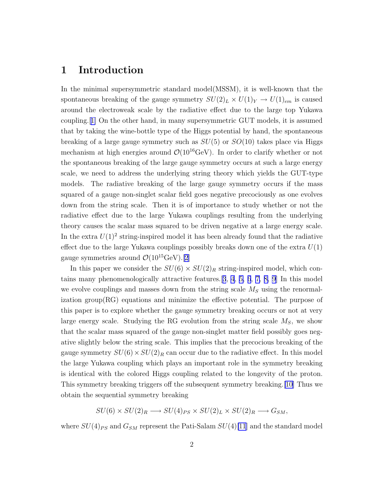### 1 Introduction

In the minimal supersymmetric standard model(MSSM), it is well-known that the spontaneous breaking of the gauge symmetry  $SU(2)_L \times U(1)_Y \to U(1)_{em}$  is caused around the electroweak scale by the radiative effect due to the large top Yukawa coupling.[[1\]](#page-13-0) On the other hand, in many supersymmetric GUT models, it is assumed that by taking the wine-bottle type of the Higgs potential by hand, the spontaneous breaking of a large gauge symmetry such as  $SU(5)$  or  $SO(10)$  takes place via Higgs mechanism at high energies around  $\mathcal{O}(10^{16} \text{GeV})$ . In order to clarify whether or not the spontaneous breaking of the large gauge symmetry occurs at such a large energy scale, we need to address the underlying string theory which yields the GUT-type models. The radiative breaking of the large gauge symmetry occurs if the mass squared of a gauge non-singlet scalar field goes negative precociously as one evolves down from the string scale. Then it is of importance to study whether or not the radiative effect due to the large Yukawa couplings resulting from the underlying theory causes the scalar mass squared to be driven negative at a large energy scale. In the extra  $U(1)^2$  string-inspired model it has been already found that the radiative effect due to the large Yukawa couplings possibly breaks down one of the extra  $U(1)$ gauge symmetries around  $\mathcal{O}(10^{15} \text{GeV}).[2]$  $\mathcal{O}(10^{15} \text{GeV}).[2]$  $\mathcal{O}(10^{15} \text{GeV}).[2]$ 

In this paper we consider the  $SU(6) \times SU(2)_R$  string-inspired model, which contains many phenomenologically attractive features.[[3](#page-13-0), [4](#page-13-0), [5, 6](#page-13-0), [7, 8, 9](#page-13-0)] In this model we evolve couplings and masses down from the string scale  $M<sub>S</sub>$  using the renormalization group(RG) equations and minimize the effective potential. The purpose of this paper is to explore whether the gauge symmetry breaking occurs or not at very large energy scale. Studying the RG evolution from the string scale  $M<sub>S</sub>$ , we show that the scalar mass squared of the gauge non-singlet matter field possibly goes negative slightly below the string scale. This implies that the precocious breaking of the gauge symmetry  $SU(6) \times SU(2)_R$  can occur due to the radiative effect. In this model the large Yukawa coupling which plays an important role in the symmetry breaking is identical with the colored Higgs coupling related to the longevity of the proton. This symmetry breaking triggers off the subsequent symmetry breaking.[\[10\]](#page-13-0) Thus we obtain the sequential symmetry breaking

$$
SU(6) \times SU(2)_R \longrightarrow SU(4)_{PS} \times SU(2)_L \times SU(2)_R \longrightarrow G_{SM},
$$

where  $SU(4)_{PS}$  and  $G_{SM}$  represent the Pati-Salam  $SU(4)[11]$  $SU(4)[11]$  $SU(4)[11]$  and the standard model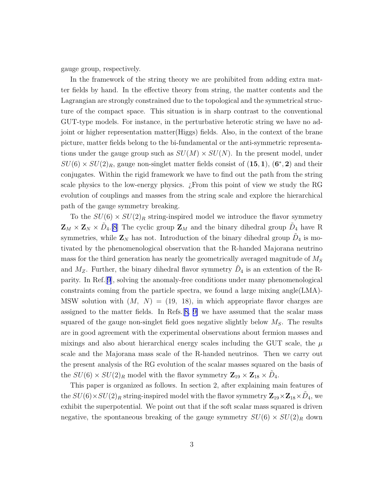gauge group, respectively.

In the framework of the string theory we are prohibited from adding extra matter fields by hand. In the effective theory from string, the matter contents and the Lagrangian are strongly constrained due to the topological and the symmetrical structure of the compact space. This situation is in sharp contrast to the conventional GUT-type models. For instance, in the perturbative heterotic string we have no adjoint or higher representation matter(Higgs) fields. Also, in the context of the brane picture, matter fields belong to the bi-fundamental or the anti-symmetric representations under the gauge group such as  $SU(M) \times SU(N)$ . In the present model, under  $SU(6) \times SU(2)_R$ , gauge non-singlet matter fields consist of  $(15, 1)$ ,  $(6^*, 2)$  and their conjugates. Within the rigid framework we have to find out the path from the string scale physics to the low-energy physics. ¿From this point of view we study the RG evolution of couplings and masses from the string scale and explore the hierarchical path of the gauge symmetry breaking.

To the  $SU(6) \times SU(2)_R$  string-inspired model we introduce the flavor symmetry  $\mathbf{Z}_M \times \mathbf{Z}_N \times \tilde{D}_4$ . [\[8](#page-13-0)] The cyclic group  $\mathbf{Z}_M$  and the binary dihedral group  $\tilde{D}_4$  have R symmetries, while  $\mathbf{Z}_N$  has not. Introduction of the binary dihedral group  $\tilde{D}_4$  is motivated by the phenomenological observation that the R-handed Majorana neutrino mass for the third generation has nearly the geometrically averaged magnitude of  $M<sub>S</sub>$ and  $M_Z$ . Further, the binary dihedral flavor symmetry  $\tilde{D}_4$  is an extention of the Rparity. In Ref.[[9](#page-13-0)], solving the anomaly-free conditions under many phenomenological constraints coming from the particle spectra, we found a large mixing angle(LMA)- MSW solution with  $(M, N) = (19, 18)$ , in which appropriate flavor charges are assigned to the matter fields. In Refs.[[8, 9\]](#page-13-0) we have assumed that the scalar mass squared of the gauge non-singlet field goes negative slightly below  $M<sub>S</sub>$ . The results are in good agreement with the experimental observations about fermion masses and mixings and also about hierarchical energy scales including the GUT scale, the  $\mu$ scale and the Majorana mass scale of the R-handed neutrinos. Then we carry out the present analysis of the RG evolution of the scalar masses squared on the basis of the  $SU(6) \times SU(2)_R$  model with the flavor symmetry  $\mathbf{Z}_{19} \times \mathbf{Z}_{18} \times \tilde{D}_4$ .

This paper is organized as follows. In section 2, after explaining main features of the  $SU(6)\times SU(2)_R$  string-inspired model with the flavor symmetry  ${\bf Z}_{19}\times{\bf Z}_{18}\times\tilde{D}_4,$  we exhibit the superpotential. We point out that if the soft scalar mass squared is driven negative, the spontaneous breaking of the gauge symmetry  $SU(6) \times SU(2)_R$  down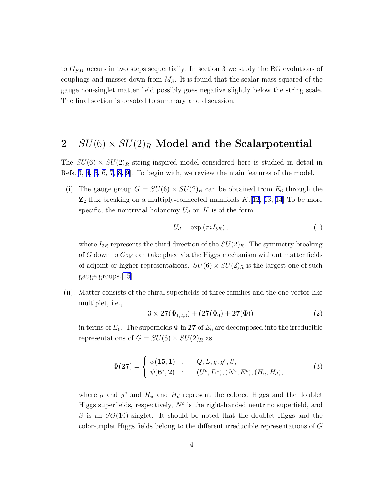<span id="page-3-0"></span>to  $G_{SM}$  occurs in two steps sequentially. In section 3 we study the RG evolutions of couplings and masses down from  $M<sub>S</sub>$ . It is found that the scalar mass squared of the gauge non-singlet matter field possibly goes negative slightly below the string scale. The final section is devoted to summary and discussion.

# 2  $SU(6) \times SU(2)_R$  Model and the Scalarpotential

The  $SU(6) \times SU(2)_R$  string-inspired model considered here is studied in detail in Refs.[[3, 4, 5, 6, 7, 8, 9\]](#page-13-0). To begin with, we review the main features of the model.

(i). The gauge group  $G = SU(6) \times SU(2)_R$  can be obtained from  $E_6$  through the  $\mathbb{Z}_2$  flux breaking on a multiply-connected manifolds  $K$ . [[12](#page-14-0), [13](#page-14-0), [14](#page-14-0)] To be more specific, the nontrivial holonomy  $U_d$  on K is of the form

$$
U_d = \exp\left(\pi i I_{3R}\right),\tag{1}
$$

where  $I_{3R}$  represents the third direction of the  $SU(2)_R$ . The symmetry breaking of G down to  $G_{SM}$  can take place via the Higgs mechanism without matter fields of adjoint or higher representations.  $SU(6) \times SU(2)_R$  is the largest one of such gauge groups.[\[15\]](#page-14-0)

(ii). Matter consists of the chiral superfields of three families and the one vector-like multiplet, i.e.,

$$
3 \times \mathbf{27}(\Phi_{1,2,3}) + (\mathbf{27}(\Phi_0) + \overline{\mathbf{27}}(\overline{\Phi}))
$$
 (2)

in terms of  $E_6$ . The superfields  $\Phi$  in 27 of  $E_6$  are decomposed into the irreducible representations of  $G = SU(6) \times SU(2)_R$  as

$$
\Phi(\mathbf{27}) = \begin{cases} \phi(\mathbf{15}, \mathbf{1}) & : & Q, L, g, g^c, S, \\ \psi(\mathbf{6}^*, \mathbf{2}) & : & (U^c, D^c), (N^c, E^c), (H_u, H_d), \end{cases} \tag{3}
$$

where g and  $g^c$  and  $H_u$  and  $H_d$  represent the colored Higgs and the doublet Higgs superfields, respectively,  $N<sup>c</sup>$  is the right-handed neutrino superfield, and S is an  $SO(10)$  singlet. It should be noted that the doublet Higgs and the color-triplet Higgs fields belong to the different irreducible representations of G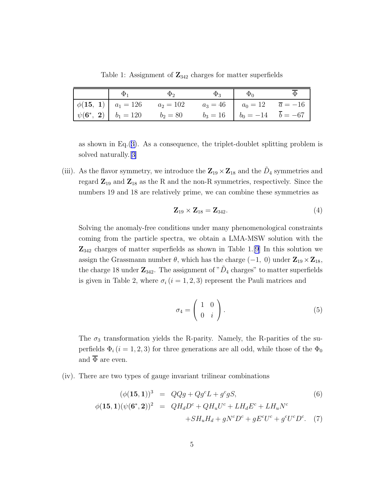Table 1: Assignment of  $\mathbb{Z}_{342}$  charges for matter superfields

<span id="page-4-0"></span>

| Φ. | $\Phi_2$                                                                                                                                                          | $\Phi_{3}$ | $\Phi_0$                                     |  |
|----|-------------------------------------------------------------------------------------------------------------------------------------------------------------------|------------|----------------------------------------------|--|
|    | $\left  \phi(15, 1) \right $ $a_1 = 126$ $a_2 = 102$                                                                                                              |            | $a_3 = 46$   $a_0 = 12$ $\overline{a} = -16$ |  |
|    | $\left  \begin{array}{cc} \psi(6^*, 2) & b_1 = 120 \\ b_2 = 80 & b_3 = 16 \\ \end{array} \right  \begin{array}{cc} b_0 = -14 & \overline{b} = -67 \\ \end{array}$ |            |                                              |  |

as shown in Eq.([3\)](#page-3-0). As a consequence, the triplet-doublet splitting problem is solved naturally.[[3\]](#page-13-0)

(iii). As the flavor symmetry, we introduce the  $\mathbb{Z}_{19} \times \mathbb{Z}_{18}$  and the  $\tilde{D}_4$  symmetries and regard  $\mathbb{Z}_{19}$  and  $\mathbb{Z}_{18}$  as the R and the non-R symmetries, respectively. Since the numbers 19 and 18 are relatively prime, we can combine these symmetries as

$$
\mathbf{Z}_{19} \times \mathbf{Z}_{18} = \mathbf{Z}_{342}.\tag{4}
$$

Solving the anomaly-free conditions under many phenomenological constraints coming from the particle spectra, we obtain a LMA-MSW solution with the  $\mathbb{Z}_{342}$  charges of matter superfields as shown in Table 1.[\[9](#page-13-0)] In this solution we assign the Grassmann number  $\theta$ , which has the charge (−1, 0) under  $\mathbb{Z}_{19} \times \mathbb{Z}_{18}$ , the charge 18 under  $\mathbb{Z}_{342}$ . The assignment of " $\tilde{D}_4$  charges" to matter superfields is given in Table 2, where  $\sigma_i$  (i = 1, 2, 3) represent the Pauli matrices and

$$
\sigma_4 = \left(\begin{array}{cc} 1 & 0 \\ 0 & i \end{array}\right). \tag{5}
$$

The  $\sigma_3$  transformation yields the R-parity. Namely, the R-parities of the superfields  $\Phi_i$  (i = 1, 2, 3) for three generations are all odd, while those of the  $\Phi_0$ and  $\overline{\Phi}$  are even.

(iv). There are two types of gauge invariant trilinear combinations

$$
(\phi(\mathbf{15}, \mathbf{1}))^3 = QQg + Qg^c L + g^c g S,\tag{6}
$$

$$
\phi(\mathbf{15}, \mathbf{1})(\psi(\mathbf{6}^*, \mathbf{2}))^2 = QH_dD^c + QH_uU^c + LH_dE^c + LH_uN^c
$$
  
+
$$
SH_uH_d + gN^cD^c + gE^cU^c + g^cU^cD^c. \tag{7}
$$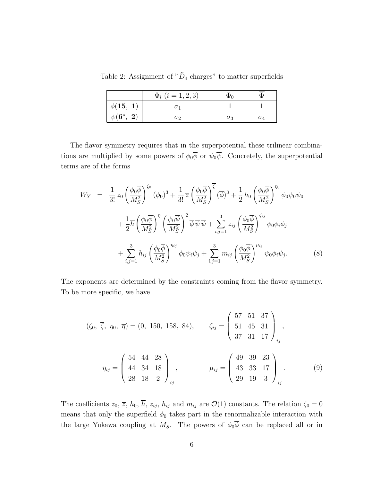<span id="page-5-0"></span>Table 2: Assignment of " $\tilde{D}_4$  charges" to matter superfields

|                                                            | $\Phi_i$ $(i = 1, 2, 3)$ | Ψ∩ |  |
|------------------------------------------------------------|--------------------------|----|--|
| $\phi({\bf 15}, \; {\bf 1}) \ \psi({\bf 6^*}, \; {\bf 2})$ |                          |    |  |
|                                                            | $\sigma$                 | Oз |  |

The flavor symmetry requires that in the superpotential these trilinear combinations are multiplied by some powers of  $\phi_0 \overline{\phi}$  or  $\psi_0 \overline{\psi}$ . Concretely, the superpotential terms are of the forms

$$
W_Y = \frac{1}{3!} z_0 \left(\frac{\phi_0 \overline{\phi}}{M_S^2}\right)^{\zeta_0} (\phi_0)^3 + \frac{1}{3!} \overline{z} \left(\frac{\phi_0 \overline{\phi}}{M_S^2}\right)^{\overline{\zeta}} (\overline{\phi})^3 + \frac{1}{2} h_0 \left(\frac{\phi_0 \overline{\phi}}{M_S^2}\right)^{\eta_0} \phi_0 \psi_0 \psi_0
$$
  
+ 
$$
\frac{1}{2} \overline{h} \left(\frac{\phi_0 \overline{\phi}}{M_S^2}\right)^{\overline{\eta}} \left(\frac{\psi_0 \overline{\psi}}{M_S^2}\right)^2 \overline{\phi} \overline{\psi} + \sum_{i,j=1}^3 z_{ij} \left(\frac{\phi_0 \overline{\phi}}{M_S^2}\right)^{\zeta_{ij}} \phi_0 \phi_i \phi_j
$$
  
+ 
$$
\sum_{i,j=1}^3 h_{ij} \left(\frac{\phi_0 \overline{\phi}}{M_S^2}\right)^{\eta_{ij}} \phi_0 \psi_i \psi_j + \sum_{i,j=1}^3 m_{ij} \left(\frac{\phi_0 \overline{\phi}}{M_S^2}\right)^{\mu_{ij}} \psi_0 \phi_i \psi_j.
$$
 (8)

The exponents are determined by the constraints coming from the flavor symmetry. To be more specific, we have

$$
(\zeta_0, \overline{\zeta}, \eta_0, \overline{\eta}) = (0, 150, 158, 84), \qquad \zeta_{ij} = \begin{pmatrix} 57 & 51 & 37 \\ 51 & 45 & 31 \\ 37 & 31 & 17 \end{pmatrix}_{ij},
$$

$$
\eta_{ij} = \begin{pmatrix} 54 & 44 & 28 \\ 44 & 34 & 18 \\ 28 & 18 & 2 \end{pmatrix}_{ij}, \qquad \mu_{ij} = \begin{pmatrix} 49 & 39 & 23 \\ 43 & 33 & 17 \\ 29 & 19 & 3 \end{pmatrix}_{ij}.
$$

$$
(9)
$$

The coefficients  $z_0$ ,  $\overline{z}$ ,  $h_0$ ,  $\overline{h}$ ,  $z_{ij}$ ,  $h_{ij}$  and  $m_{ij}$  are  $\mathcal{O}(1)$  constants. The relation  $\zeta_0 = 0$ means that only the superfield  $\phi_0$  takes part in the renormalizable interaction with the large Yukawa coupling at  $M_S$ . The powers of  $\phi_0 \overline{\phi}$  can be replaced all or in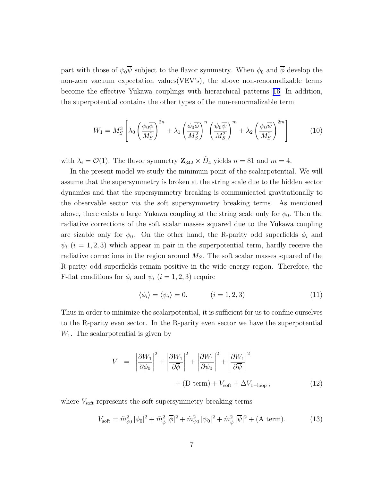part with those of  $\psi_0 \overline{\psi}$  subject to the flavor symmetry. When  $\phi_0$  and  $\overline{\phi}$  develop the non-zero vacuum expectation values(VEV's), the above non-renormalizable terms become the effective Yukawa couplings with hierarchical patterns.[[16](#page-14-0)] In addition, the superpotential contains the other types of the non-renormalizable term

$$
W_1 = M_S^3 \left[ \lambda_0 \left( \frac{\phi_0 \overline{\phi}}{M_S^2} \right)^{2n} + \lambda_1 \left( \frac{\phi_0 \overline{\phi}}{M_S^2} \right)^n \left( \frac{\psi_0 \overline{\psi}}{M_S^2} \right)^m + \lambda_2 \left( \frac{\psi_0 \overline{\psi}}{M_S^2} \right)^{2m} \right]
$$
(10)

with  $\lambda_i = \mathcal{O}(1)$ . The flavor symmetry  $\mathbb{Z}_{342} \times \tilde{D}_4$  yields  $n = 81$  and  $m = 4$ .

In the present model we study the minimum point of the scalarpotential. We will assume that the supersymmetry is broken at the string scale due to the hidden sector dynamics and that the supersymmetry breaking is communicated gravitationally to the observable sector via the soft supersymmetry breaking terms. As mentioned above, there exists a large Yukawa coupling at the string scale only for  $\phi_0$ . Then the radiative corrections of the soft scalar masses squared due to the Yukawa coupling are sizable only for  $\phi_0$ . On the other hand, the R-parity odd superfields  $\phi_i$  and  $\psi_i$  (i = 1, 2, 3) which appear in pair in the superpotential term, hardly receive the radiative corrections in the region around  $M<sub>S</sub>$ . The soft scalar masses squared of the R-parity odd superfields remain positive in the wide energy region. Therefore, the F-flat conditions for  $\phi_i$  and  $\psi_i$   $(i = 1, 2, 3)$  require

$$
\langle \phi_i \rangle = \langle \psi_i \rangle = 0. \qquad (i = 1, 2, 3)
$$
 (11)

Thus in order to minimize the scalarpotential, it is sufficient for us to confine ourselves to the R-parity even sector. In the R-parity even sector we have the superpotential  $W_1$ . The scalar potential is given by

$$
V = \left| \frac{\partial W_1}{\partial \phi_0} \right|^2 + \left| \frac{\partial W_1}{\partial \overline{\phi}} \right|^2 + \left| \frac{\partial W_1}{\partial \psi_0} \right|^2 + \left| \frac{\partial W_1}{\partial \overline{\psi}} \right|^2 + (D \text{ term}) + V_{\text{soft}} + \Delta V_{1-\text{loop}} , \qquad (12)
$$

where  $V_{\text{soft}}$  represents the soft supersymmetry breaking terms

$$
V_{\text{soft}} = \tilde{m}_{\phi 0}^2 |\phi_0|^2 + \tilde{m}_{\phi}^2 |\overline{\phi}|^2 + \tilde{m}_{\psi 0}^2 |\psi_0|^2 + \tilde{m}_{\overline{\psi}}^2 |\overline{\psi}|^2 + (\text{A term}). \tag{13}
$$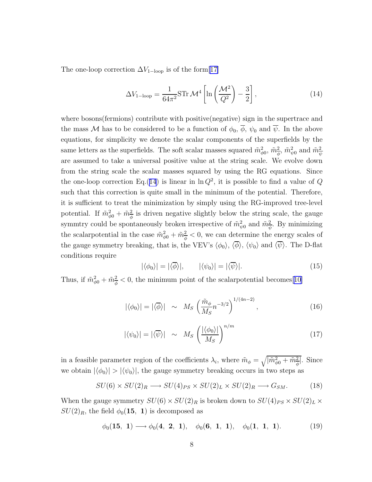The one-loop correction  $\Delta V_{1-loop}$  is of the form[[17\]](#page-14-0)

$$
\Delta V_{1-\text{loop}} = \frac{1}{64\pi^2} \text{STr } \mathcal{M}^4 \left[ \ln \left( \frac{\mathcal{M}^2}{Q^2} \right) - \frac{3}{2} \right],\tag{14}
$$

where bosons(fermions) contribute with positive(negative) sign in the supertrace and the mass M has to be considered to be a function of  $\phi_0$ ,  $\overline{\phi}$ ,  $\psi_0$  and  $\overline{\psi}$ . In the above equations, for simplicity we denote the scalar components of the superfields by the same letters as the superfields. The soft scalar masses squared  $\tilde{m}^2_{\phi 0}$ ,  $\tilde{m}^2_{\phi}$ ,  $\tilde{m}^2_{\psi 0}$  and  $\tilde{m}^2_{\overline{\psi}}$ are assumed to take a universal positive value at the string scale. We evolve down from the string scale the scalar masses squared by using the RG equations. Since the one-loop correction Eq.(14) is linear in  $\ln Q^2$ , it is possible to find a value of Q such that this correction is quite small in the minimum of the potential. Therefore, it is sufficient to treat the minimization by simply using the RG-improved tree-level potential. If  $\tilde{m}^2_{\phi 0} + \tilde{m}^2_{\phi}$  is driven negative slightly below the string scale, the gauge symmtry could be spontaneously broken irrespective of  $\tilde{m}^2_{\psi 0}$  and  $\tilde{m}^2_{\overline{\psi}}$ . By minimizing the scalar potential in the case  $\tilde{m}_{\phi 0}^2 + \tilde{m}_{\phi}^2 < 0$ , we can determine the energy scales of the gauge symmetry breaking, that is, the VEV's  $\langle \phi_0 \rangle$ ,  $\langle \overline{\phi} \rangle$ ,  $\langle \psi_0 \rangle$  and  $\langle \overline{\psi} \rangle$ . The D-flat conditions require

$$
|\langle \phi_0 \rangle| = |\langle \overline{\phi} \rangle|, \qquad |\langle \psi_0 \rangle| = |\langle \overline{\psi} \rangle|. \tag{15}
$$

Thus, if  $\tilde{m}_{\phi 0}^2 + \tilde{m}_{\phi}^2 < 0$ , the minimum point of the scalar potential becomes [\[10\]](#page-13-0)

$$
|\langle \phi_0 \rangle| = |\langle \overline{\phi} \rangle| \sim M_S \left( \frac{\tilde{m}_{\phi}}{M_S} n^{-3/2} \right)^{1/(4n-2)}, \qquad (16)
$$

$$
|\langle \psi_0 \rangle| = |\langle \overline{\psi} \rangle| \sim M_S \left( \frac{|\langle \phi_0 \rangle|}{M_S} \right)^{n/m} \tag{17}
$$

in a feasible parameter region of the coefficients  $\lambda_i$ , where  $\tilde{m}_{\phi} = \sqrt{|\tilde{m}_{\phi}^2 + \tilde{m}_{\phi}^2|}$ . Since we obtain  $|\langle \phi_0 \rangle| > |\langle \psi_0 \rangle|$ , the gauge symmetry breaking occurs in two steps as

$$
SU(6) \times SU(2)_R \longrightarrow SU(4)_{PS} \times SU(2)_L \times SU(2)_R \longrightarrow G_{SM}.
$$
 (18)

When the gauge symmetry  $SU(6) \times SU(2)_R$  is broken down to  $SU(4)_{PS} \times SU(2)_L \times$  $SU(2)_R$ , the field  $\phi_0(15, 1)$  is decomposed as

$$
\phi_0(15, 1) \longrightarrow \phi_0(4, 2, 1), \quad \phi_0(6, 1, 1), \quad \phi_0(1, 1, 1).
$$
 (19)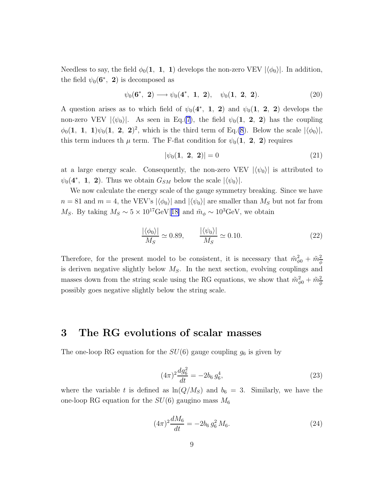Needless to say, the field  $\phi_0(1, 1, 1)$  develops the non-zero VEV  $|\langle \phi_0 \rangle|$ . In addition, the field  $\psi_0(\mathbf{6}^*, 2)$  is decomposed as

$$
\psi_0(\mathbf{6}^*, \ \mathbf{2}) \longrightarrow \psi_0(\mathbf{4}^*, \ \mathbf{1}, \ \mathbf{2}), \quad \psi_0(\mathbf{1}, \ \mathbf{2}, \ \mathbf{2}). \tag{20}
$$

A question arises as to which field of  $\psi_0(4^*, 1, 2)$  and  $\psi_0(1, 2, 2)$  develops the non-zero VEV  $|\langle \psi_0 \rangle|$ . As seen in Eq.[\(7](#page-4-0)), the field  $\psi_0(1, 2, 2)$  has the coupling  $\phi_0(1, 1, 1)\psi_0(1, 2, 2)^2$ , which is the third term of Eq.[\(8](#page-5-0)). Below the scale  $|\langle \phi_0 \rangle|$ , this term induces th  $\mu$  term. The F-flat condition for  $\psi_0(1, 2, 2)$  requires

$$
|\psi_0(\mathbf{1}, \ \mathbf{2}, \ \mathbf{2})| = 0 \tag{21}
$$

at a large energy scale. Consequently, the non-zero VEV  $|\langle \psi_0 \rangle|$  is attributed to  $\psi_0(4^*, 1, 2)$ . Thus we obtain  $G_{SM}$  below the scale  $|\langle \psi_0 \rangle|$ .

We now calculate the energy scale of the gauge symmetry breaking. Since we have  $n = 81$  and  $m = 4$ , the VEV's  $|\langle \phi_0 \rangle|$  and  $|\langle \psi_0 \rangle|$  are smaller than  $M_S$  but not far from Ms. By taking  $M_S \sim 5 \times 10^{17} \text{GeV}$ [[18\]](#page-14-0) and  $\tilde{m}_{\phi} \sim 10^{3} \text{GeV}$ , we obtain

$$
\frac{|\langle \phi_0 \rangle|}{M_S} \simeq 0.89, \qquad \frac{|\langle \psi_0 \rangle|}{M_S} \simeq 0.10. \tag{22}
$$

Therefore, for the present model to be consistent, it is necessary that  $\tilde{m}^2_{\phi 0} + \tilde{m}^2_{\phi}$ is deriven negative slightly below  $M<sub>S</sub>$ . In the next section, evolving couplings and masses down from the string scale using the RG equations, we show that  $\tilde{m}^2_{\phi 0} + \tilde{m}^2_{\phi}$ possibly goes negative slightly below the string scale.

#### 3 The RG evolutions of scalar masses

The one-loop RG equation for the  $SU(6)$  gauge coupling  $g_6$  is given by

$$
(4\pi)^2 \frac{dg_6^2}{dt} = -2b_6 g_6^4,\tag{23}
$$

where the variable t is defined as  $\ln(Q/M_S)$  and  $b_6 = 3$ . Similarly, we have the one-loop RG equation for the  $SU(6)$  gaugino mass  $M_6$ 

$$
(4\pi)^2 \frac{dM_6}{dt} = -2b_6 g_6^2 M_6. \tag{24}
$$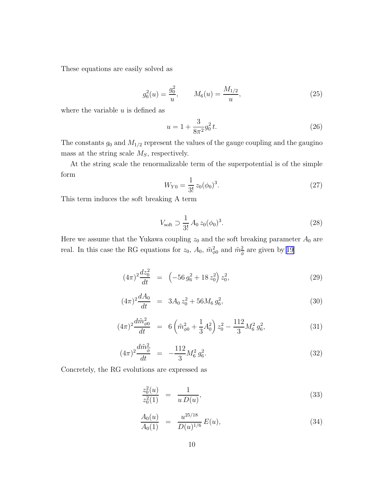<span id="page-9-0"></span>These equations are easily solved as

$$
g_6^2(u) = \frac{g_0^2}{u}, \qquad M_6(u) = \frac{M_{1/2}}{u}, \tag{25}
$$

where the variable  $u$  is defined as

$$
u = 1 + \frac{3}{8\pi^2} g_0^2 t.
$$
\n(26)

The constants  $g_0$  and  $M_{1/2}$  represent the values of the gauge coupling and the gaugino mass at the string scale  $M<sub>S</sub>$ , respectively.

At the string scale the renormalizable term of the superpotential is of the simple form

$$
W_{Y0} = \frac{1}{3!} z_0 (\phi_0)^3.
$$
 (27)

This term induces the soft breaking A term

$$
V_{\text{soft}} \supset \frac{1}{3!} A_0 z_0 (\phi_0)^3. \tag{28}
$$

Here we assume that the Yukawa coupling  $z_0$  and the soft breaking parameter  $A_0$  are real. In this case the RG equations for  $z_0$ ,  $A_0$ ,  $\tilde{m}^2_{\phi 0}$  and  $\tilde{m}^2_{\phi}$  are given by [[19](#page-14-0)]

$$
(4\pi)^2 \frac{dz_0^2}{dt} = \left(-56 g_6^2 + 18 z_0^2\right) z_0^2,\tag{29}
$$

$$
(4\pi)^2 \frac{dA_0}{dt} = 3A_0 z_0^2 + 56M_6 g_6^2,
$$
\n(30)

$$
(4\pi)^2 \frac{d\tilde{m}_{\phi 0}^2}{dt} = 6\left(\tilde{m}_{\phi 0}^2 + \frac{1}{3}A_0^2\right)z_0^2 - \frac{112}{3}M_6^2 g_6^2,\tag{31}
$$

$$
(4\pi)^2 \frac{d\tilde{m}_{\phi}^2}{dt} = -\frac{112}{3} M_6^2 g_6^2.
$$
 (32)

Concretely, the RG evolutions are expressed as

$$
\frac{z_0^2(u)}{z_0^2(1)} = \frac{1}{u D(u)},
$$
\n(33)

$$
\frac{A_0(u)}{A_0(1)} = \frac{u^{25/18}}{D(u)^{1/6}} E(u), \tag{34}
$$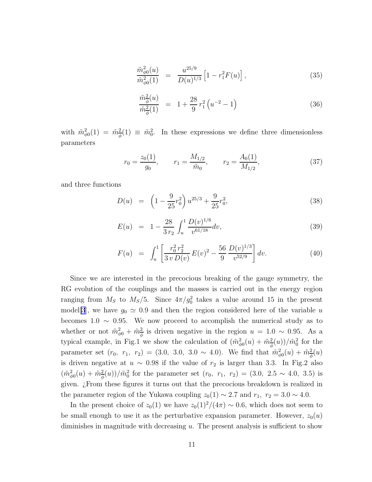$$
\frac{\tilde{m}_{\phi 0}^2(u)}{\tilde{m}_{\phi 0}^2(1)} = \frac{u^{25/9}}{D(u)^{1/3}} \left[1 - r_1^2 F(u)\right],\tag{35}
$$

$$
\frac{\tilde{m}_{\phi}^{2}(u)}{\tilde{m}_{\phi}^{2}(1)} = 1 + \frac{28}{9} r_{1}^{2} \left( u^{-2} - 1 \right)
$$
\n(36)

with  $\tilde{m}_{\phi 0}^2(1) = \tilde{m}_{\phi}^2(1) \equiv \tilde{m}_0^2$ . In these expressions we define three dimensionless parameters

$$
r_0 = \frac{z_0(1)}{g_0}, \qquad r_1 = \frac{M_{1/2}}{\tilde{m}_0}, \qquad r_2 = \frac{A_0(1)}{M_{1/2}}, \tag{37}
$$

and three functions

$$
D(u) = \left(1 - \frac{9}{25}r_0^2\right)u^{25/3} + \frac{9}{25}r_0^2,
$$
\n(38)

$$
E(u) = 1 - \frac{28}{3 r_2} \int_u^1 \frac{D(v)^{1/6}}{v^{61/18}} dv,
$$
\n(39)

$$
F(u) = \int_{u}^{1} \left[ \frac{r_0^2 r_2^2}{3 v D(v)} E(v)^2 - \frac{56}{9} \frac{D(v)^{1/3}}{v^{52/9}} \right] dv.
$$
 (40)

Since we are interested in the precocious breaking of the gauge symmetry, the RG evolution of the couplings and the masses is carried out in the energy region ranging from  $M_S$  to  $M_S/5$ . Since  $4\pi/g_0^2$  takes a value around 15 in the present model[\[3](#page-13-0)], we have  $g_0 \simeq 0.9$  and then the region considered here of the variable u becomes 1.0  $\sim$  0.95. We now proceed to accomplish the numerical study as to whether or not  $\tilde{m}_{\phi 0}^2 + \tilde{m}_{\phi}^2$  is driven negative in the region  $u = 1.0 \sim 0.95$ . As a typical example, in Fig.1 we show the calculation of  $(\tilde{m}_{\phi 0}^2(u) + \tilde{m}_{\phi}^2(u))/\tilde{m}_0^2$  for the parameter set  $(r_0, r_1, r_2) = (3.0, 3.0, 3.0 \sim 4.0)$ . We find that  $\tilde{m}_{\phi}^2(u) + \tilde{m}_{\phi}^2(u)$ is driven negative at  $u \sim 0.98$  if the value of  $r_2$  is larger than 3.3. In Fig.2 also  $(\tilde{m}_{\phi0}^2(u) + \tilde{m}_{\phi}^2(u))/\tilde{m}_0^2$  for the parameter set  $(r_0, r_1, r_2) = (3.0, 2.5 \sim 4.0, 3.5)$  is given. ¿From these figures it turns out that the precocious breakdown is realized in the parameter region of the Yukawa coupling  $z_0(1) \sim 2.7$  and  $r_1$ ,  $r_2 = 3.0 \sim 4.0$ .

In the present choice of  $z_0(1)$  we have  $z_0(1)^2/(4\pi) \sim 0.6$ , which does not seem to be small enough to use it as the perturbative expansion parameter. However,  $z_0(u)$ diminishes in magnitude with decreasing u. The present analysis is sufficient to show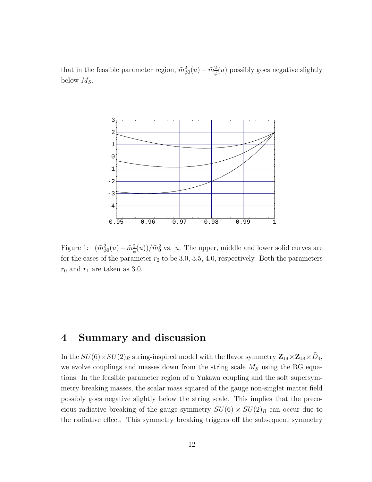that in the feasible parameter region,  $\tilde{m}^2_{\phi 0}(u) + \tilde{m}^2_{\phi}(u)$  possibly goes negative slightly below  $M_S$ .



Figure 1:  $(\tilde{m}_{\phi 0}^2(u) + \tilde{m}_{\phi}^2(u))/\tilde{m}_0^2$  vs. u. The upper, middle and lower solid curves are for the cases of the parameter  $r_2$  to be 3.0, 3.5, 4.0, respectively. Both the parameters  $r_0$  and  $r_1$  are taken as 3.0.

#### 4 Summary and discussion

In the  $SU(6)\times SU(2)_R$  string-inspired model with the flavor symmetry  $\bf Z_{19}\times \bf Z_{18}\times \tilde D_4,$ we evolve couplings and masses down from the string scale  $M<sub>S</sub>$  using the RG equations. In the feasible parameter region of a Yukawa coupling and the soft supersymmetry breaking masses, the scalar mass squared of the gauge non-singlet matter field possibly goes negative slightly below the string scale. This implies that the precocious radiative breaking of the gauge symmetry  $SU(6) \times SU(2)_R$  can occur due to the radiative effect. This symmetry breaking triggers off the subsequent symmetry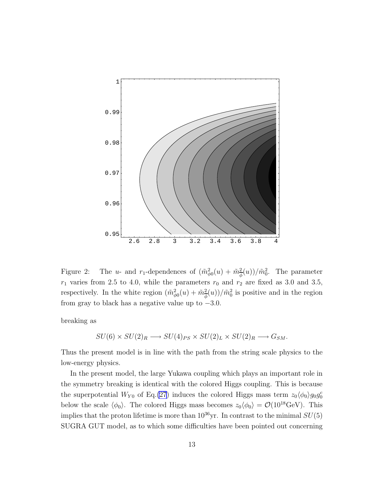

Figure 2: The u- and r<sub>1</sub>-dependences of  $(\tilde{m}_{\phi 0}^2(u) + \tilde{m}_{\phi}^2(u))/\tilde{m}_0^2$ . The parameter  $r_1$  varies from 2.5 to 4.0, while the parameters  $r_0$  and  $r_2$  are fixed as 3.0 and 3.5, respectively. In the white region  $(\tilde{m}^2_{\phi 0}(u) + \tilde{m}^2_{\phi}(u))/\tilde{m}^2_0$  is positive and in the region from gray to black has a negative value up to  $-3.0$ .

breaking as

$$
SU(6) \times SU(2)_R \longrightarrow SU(4)_{PS} \times SU(2)_L \times SU(2)_R \longrightarrow G_{SM}.
$$

Thus the present model is in line with the path from the string scale physics to the low-energy physics.

In the present model, the large Yukawa coupling which plays an important role in the symmetry breaking is identical with the colored Higgs coupling. This is because the superpotential  $W_{Y0}$  of Eq.[\(27](#page-9-0)) induces the colored Higgs mass term  $z_0 \langle \phi_0 \rangle g_0 g_0^c$ below the scale  $\langle \phi_0 \rangle$ . The colored Higgs mass becomes  $z_0 \langle \phi_0 \rangle = \mathcal{O}(10^{18} \text{GeV})$ . This implies that the proton lifetime is more than  $10^{36}$ yr. In contrast to the minimal  $SU(5)$ SUGRA GUT model, as to which some difficulties have been pointed out concerning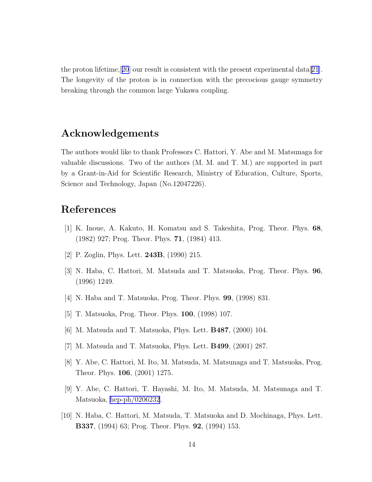<span id="page-13-0"></span>the proton lifetime, [[20](#page-14-0)] our result is consistent with the present experimental data [\[21\]](#page-14-0). The longevity of the proton is in connection with the precocious gauge symmetry breaking through the common large Yukawa coupling.

### Acknowledgements

The authors would like to thank Professors C. Hattori, Y. Abe and M. Matsunaga for valuable discussions. Two of the authors (M. M. and T. M.) are supported in part by a Grant-in-Aid for Scientific Research, Ministry of Education, Culture, Sports, Science and Technology, Japan (No.12047226).

## References

- [1] K. Inoue, A. Kakuto, H. Komatsu and S. Takeshita, Prog. Theor. Phys. 68, (1982) 927; Prog. Theor. Phys. 71, (1984) 413.
- [2] P. Zoglin, Phys. Lett. 243B, (1990) 215.
- [3] N. Haba, C. Hattori, M. Matsuda and T. Matsuoka, Prog. Theor. Phys. 96, (1996) 1249.
- [4] N. Haba and T. Matsuoka, Prog. Theor. Phys. 99, (1998) 831.
- [5] T. Matsuoka, Prog. Theor. Phys. 100, (1998) 107.
- [6] M. Matsuda and T. Matsuoka, Phys. Lett. B487, (2000) 104.
- [7] M. Matsuda and T. Matsuoka, Phys. Lett. B499, (2001) 287.
- [8] Y. Abe, C. Hattori, M. Ito, M. Matsuda, M. Matsunaga and T. Matsuoka, Prog. Theor. Phys. 106, (2001) 1275.
- [9] Y. Abe, C. Hattori, T. Hayashi, M. Ito, M. Matsuda, M. Matsunaga and T. Matsuoka, [hep-ph/0206232](http://arXiv.org/abs/hep-ph/0206232).
- [10] N. Haba, C. Hattori, M. Matsuda, T. Matsuoka and D. Mochinaga, Phys. Lett. B337, (1994) 63; Prog. Theor. Phys. 92, (1994) 153.